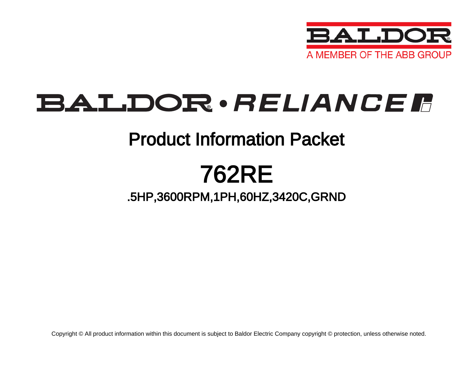

# BALDOR · RELIANCE F

## Product Information Packet

## 762RE

### .5HP,3600RPM,1PH,60HZ,3420C,GRND

Copyright © All product information within this document is subject to Baldor Electric Company copyright © protection, unless otherwise noted.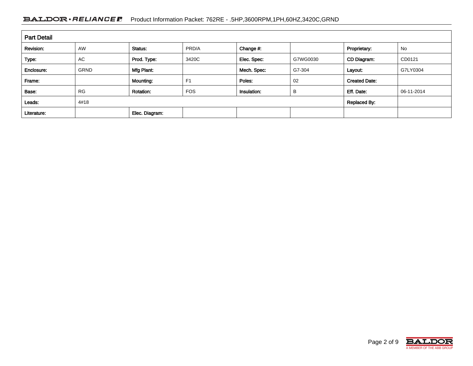### BALDOR · RELIANCE F Product Information Packet: 762RE - .5HP,3600RPM,1PH,60HZ,3420C,GRND

| <b>Part Detail</b> |             |                  |                |             |                     |                      |            |
|--------------------|-------------|------------------|----------------|-------------|---------------------|----------------------|------------|
| Revision:          | <b>AW</b>   | Status:          | PRD/A          | Change #:   |                     | Proprietary:         | No         |
| Type:              | AC          | Prod. Type:      | 3420C          | Elec. Spec: | G7WG0030            | CD Diagram:          | CD0121     |
| Enclosure:         | <b>GRND</b> | Mfg Plant:       |                | Mech. Spec: | G7-304              | Layout:              | G7LY0304   |
| Frame:             |             | Mounting:        | F <sub>1</sub> | Poles:      | 02                  | <b>Created Date:</b> |            |
| Base:              | <b>RG</b>   | <b>Rotation:</b> | <b>FOS</b>     | Insulation: | B                   | Eff. Date:           | 06-11-2014 |
| Leads:             | 4#18        |                  |                |             | <b>Replaced By:</b> |                      |            |
| Literature:        |             | Elec. Diagram:   |                |             |                     |                      |            |

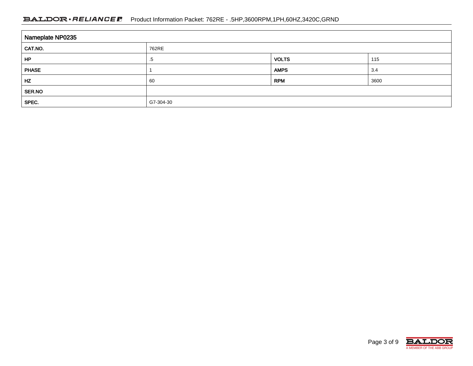### BALDOR · RELIANCE F Product Information Packet: 762RE - .5HP,3600RPM,1PH,60HZ,3420C,GRND

| Nameplate NP0235 |           |              |      |  |
|------------------|-----------|--------------|------|--|
| CAT.NO.          | 762RE     |              |      |  |
| HP               | .5        | <b>VOLTS</b> | 115  |  |
| <b>PHASE</b>     |           | <b>AMPS</b>  | 3.4  |  |
| HZ               | 60        | <b>RPM</b>   | 3600 |  |
| SER.NO           |           |              |      |  |
| SPEC.            | G7-304-30 |              |      |  |

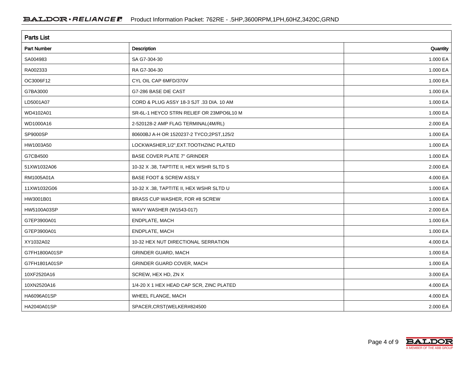| <b>Parts List</b>  |                                          |          |  |
|--------------------|------------------------------------------|----------|--|
| <b>Part Number</b> | Description                              | Quantity |  |
| SA004983           | SA G7-304-30                             | 1.000 EA |  |
| RA002333           | RA G7-304-30                             | 1.000 EA |  |
| OC3006F12          | CYL OIL CAP 6MFD/370V                    | 1.000 EA |  |
| G7BA3000           | G7-286 BASE DIE CAST                     | 1.000 EA |  |
| LD5001A07          | CORD & PLUG ASSY 18-3 SJT .33 DIA, 10 AM | 1.000 EA |  |
| WD4102A01          | SR-6L-1 HEYCO STRN RELIEF OR 23MPO6L10 M | 1.000 EA |  |
| WD1000A16          | 2-520128-2 AMP FLAG TERMINAL(4M/RL)      | 2.000 EA |  |
| SP9000SP           | 80600BJ A-H OR 1520237-2 TYCO;2PST,125/2 | 1.000 EA |  |
| HW1003A50          | LOCKWASHER, 1/2", EXT. TOOTHZINC PLATED  | 1.000 EA |  |
| G7CB4500           | <b>BASE COVER PLATE 7" GRINDER</b>       | 1.000 EA |  |
| 51XW1032A06        | 10-32 X .38, TAPTITE II, HEX WSHR SLTD S | 2.000 EA |  |
| RM1005A01A         | <b>BASE FOOT &amp; SCREW ASSLY</b>       | 4.000 EA |  |
| 11XW1032G06        | 10-32 X .38, TAPTITE II, HEX WSHR SLTD U | 1.000 EA |  |
| HW3001B01          | BRASS CUP WASHER, FOR #8 SCREW           | 1.000 EA |  |
| HW5100A03SP        | WAVY WASHER (W1543-017)                  | 2.000 EA |  |
| G7EP3900A01        | ENDPLATE, MACH                           | 1.000 EA |  |
| G7EP3900A01        | ENDPLATE, MACH                           | 1.000 EA |  |
| XY1032A02          | 10-32 HEX NUT DIRECTIONAL SERRATION      | 4.000 EA |  |
| G7FH1800A01SP      | <b>GRINDER GUARD, MACH</b>               | 1.000 EA |  |
| G7FH1801A01SP      | <b>GRINDER GUARD COVER, MACH</b>         | 1.000 EA |  |
| 10XF2520A16        | SCREW, HEX HD, ZN X                      | 3.000 EA |  |
| 10XN2520A16        | 1/4-20 X 1 HEX HEAD CAP SCR, ZINC PLATED | 4.000 EA |  |
| HA6096A01SP        | WHEEL FLANGE, MACH                       | 4.000 EA |  |
| HA2040A01SP        | SPACER, CRST(WELKER#824500               | 2.000 EA |  |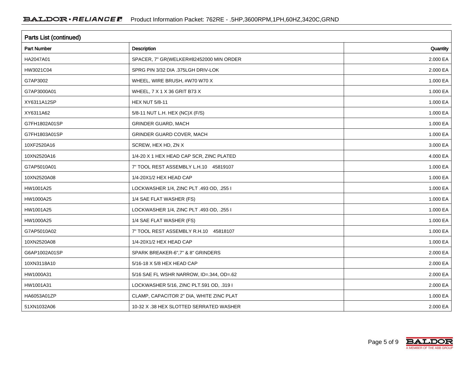| Parts List (continued) |                                          |          |  |
|------------------------|------------------------------------------|----------|--|
| Part Number            | Description                              | Quantity |  |
| HA2047A01              | SPACER, 7" GR(WELKER#82452000 MIN ORDER  | 2.000 EA |  |
| HW3021C04              | SPRG PIN 3/32 DIA .375LGH DRIV-LOK       | 2.000 EA |  |
| G7AP3002               | WHEEL, WIRE BRUSH, #W70 W70 X            | 1.000 EA |  |
| G7AP3000A01            | WHEEL, 7 X 1 X 36 GRIT B73 X             | 1.000 EA |  |
| XY6311A12SP            | <b>HEX NUT 5/8-11</b>                    | 1.000 EA |  |
| XY6311A62              | 5/8-11 NUT L.H. HEX (NC)X (F/S)          | 1.000 EA |  |
| G7FH1802A01SP          | <b>GRINDER GUARD, MACH</b>               | 1.000 EA |  |
| G7FH1803A01SP          | GRINDER GUARD COVER, MACH                | 1.000 EA |  |
| 10XF2520A16            | SCREW, HEX HD, ZN X                      | 3.000 EA |  |
| 10XN2520A16            | 1/4-20 X 1 HEX HEAD CAP SCR, ZINC PLATED | 4.000 EA |  |
| G7AP5010A01            | 7" TOOL REST ASSEMBLY L.H.10 45819107    | 1.000 EA |  |
| 10XN2520A08            | 1/4-20X1/2 HEX HEAD CAP                  | 1.000 EA |  |
| HW1001A25              | LOCKWASHER 1/4, ZINC PLT .493 OD, .255 I | 1.000 EA |  |
| HW1000A25              | 1/4 SAE FLAT WASHER (FS)                 | 1.000 EA |  |
| HW1001A25              | LOCKWASHER 1/4, ZINC PLT .493 OD, .255 I | 1.000 EA |  |
| HW1000A25              | 1/4 SAE FLAT WASHER (FS)                 | 1.000 EA |  |
| G7AP5010A02            | 7" TOOL REST ASSEMBLY R.H.10 45818107    | 1.000 EA |  |
| 10XN2520A08            | 1/4-20X1/2 HEX HEAD CAP                  | 1.000 EA |  |
| G6AP1002A01SP          | SPARK BREAKER-6",7" & 8" GRINDERS        | 2.000 EA |  |
| 10XN3118A10            | 5/16-18 X 5/8 HEX HEAD CAP               | 2.000 EA |  |
| HW1000A31              | 5/16 SAE FL WSHR NARROW, ID=.344, OD=.62 | 2.000 EA |  |
| HW1001A31              | LOCKWASHER 5/16, ZINC PLT.591 OD, .319 I | 2.000 EA |  |
| HA6053A01ZP            | CLAMP, CAPACITOR 2" DIA, WHITE ZINC PLAT | 1.000 EA |  |
| 51XN1032A06            | 10-32 X .38 HEX SLOTTED SERRATED WASHER  | 2.000 EA |  |

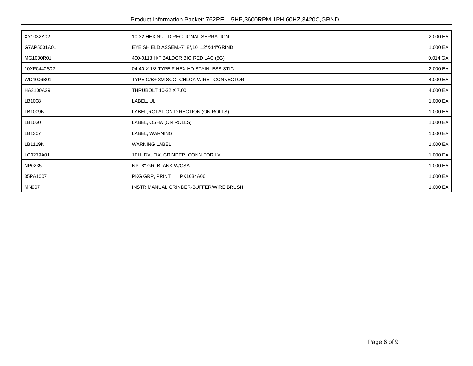| XY1032A02    | 10-32 HEX NUT DIRECTIONAL SERRATION      | 2.000 EA |
|--------------|------------------------------------------|----------|
| G7AP5001A01  | EYE SHIELD ASSEM.-7",8",10",12"&14"GRIND | 1.000 EA |
| MG1000R01    | 400-0113 H/F BALDOR BIG RED LAC (5G)     | 0.014 GA |
| 10XF0440S02  | 04-40 X 1/8 TYPE F HEX HD STAINLESS STIC | 2.000 EA |
| WD4006B01    | TYPE O/B+ 3M SCOTCHLOK WIRE CONNECTOR    | 4.000 EA |
| HA3100A29    | THRUBOLT 10-32 X 7.00                    | 4.000 EA |
| LB1008       | LABEL, UL                                | 1.000 EA |
| LB1009N      | LABEL, ROTATION DIRECTION (ON ROLLS)     | 1.000 EA |
| LB1030       | LABEL, OSHA (ON ROLLS)                   | 1.000 EA |
| LB1307       | LABEL, WARNING                           | 1.000 EA |
| LB1119N      | <b>WARNING LABEL</b>                     | 1.000 EA |
| LC0279A01    | 1PH, DV, FIX, GRINDER, CONN FOR LV       | 1.000 EA |
| NP0235       | NP-8" GR, BLANK W/CSA                    | 1.000 EA |
| 35PA1007     | PKG GRP, PRINT<br>PK1034A06              | 1.000 EA |
| <b>MN907</b> | INSTR MANUAL GRINDER-BUFFER/WIRE BRUSH   | 1.000 EA |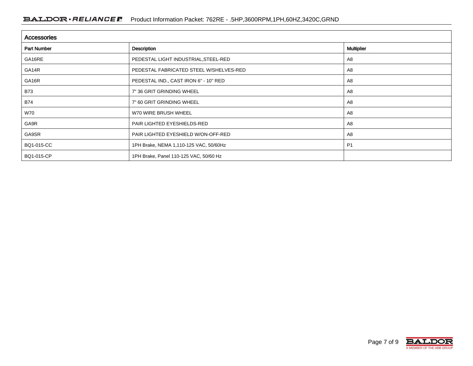| <b>Accessories</b> |                                         |                   |  |
|--------------------|-----------------------------------------|-------------------|--|
| <b>Part Number</b> | Description                             | <b>Multiplier</b> |  |
| GA16RE             | PEDESTAL LIGHT INDUSTRIAL, STEEL-RED    | A <sub>8</sub>    |  |
| GA14R              | PEDESTAL FABRICATED STEEL W/SHELVES-RED | A8                |  |
| GA16R              | PEDESTAL IND., CAST IRON 6" - 10" RED   | A8                |  |
| <b>B73</b>         | 7" 36 GRIT GRINDING WHEEL               | A8                |  |
| <b>B74</b>         | 7" 60 GRIT GRINDING WHEEL               | A <sub>8</sub>    |  |
| W70                | W70 WIRE BRUSH WHEEL                    | A8                |  |
| GA9R               | PAIR LIGHTED EYESHIELDS-RED             | A8                |  |
| GA9SR              | PAIR LIGHTED EYESHIELD W/ON-OFF-RED     | A8                |  |
| BQ1-015-CC         | 1PH Brake, NEMA 1,110-125 VAC, 50/60Hz  | P <sub>1</sub>    |  |
| BQ1-015-CP         | 1PH Brake, Panel 110-125 VAC, 50/60 Hz  |                   |  |

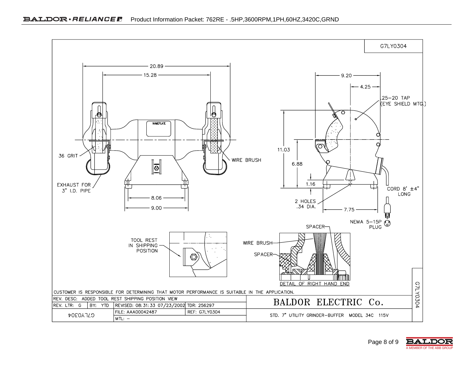